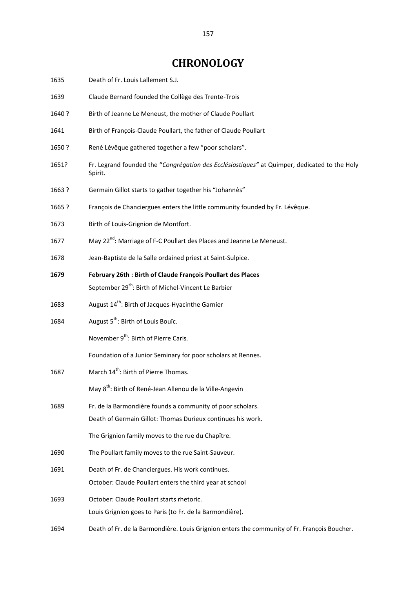## **CHRONOLOGY**

| 1635   | Death of Fr. Louis Lallement S.J.                                                                                              |
|--------|--------------------------------------------------------------------------------------------------------------------------------|
| 1639   | Claude Bernard founded the Collège des Trente-Trois                                                                            |
| 1640 ? | Birth of Jeanne Le Meneust, the mother of Claude Poullart                                                                      |
| 1641   | Birth of François-Claude Poullart, the father of Claude Poullart                                                               |
| 1650 ? | René Lévêque gathered together a few "poor scholars".                                                                          |
| 1651?  | Fr. Legrand founded the "Congrégation des Ecclésiastiques" at Quimper, dedicated to the Holy<br>Spirit.                        |
| 1663 ? | Germain Gillot starts to gather together his "Johannès"                                                                        |
| 1665 ? | François de Chanciergues enters the little community founded by Fr. Lévêque.                                                   |
| 1673   | Birth of Louis-Grignion de Montfort.                                                                                           |
| 1677   | May 22 <sup>nd</sup> : Marriage of F-C Poullart des Places and Jeanne Le Meneust.                                              |
| 1678   | Jean-Baptiste de la Salle ordained priest at Saint-Sulpice.                                                                    |
| 1679   | February 26th: Birth of Claude François Poullart des Places<br>September 29 <sup>th</sup> : Birth of Michel-Vincent Le Barbier |
| 1683   | August 14 <sup>th</sup> : Birth of Jacques-Hyacinthe Garnier                                                                   |
| 1684   | August 5 <sup>th</sup> : Birth of Louis Bouïc.                                                                                 |
|        | November 9 <sup>th</sup> : Birth of Pierre Caris.                                                                              |
|        | Foundation of a Junior Seminary for poor scholars at Rennes.                                                                   |
| 1687   | March 14 <sup>th</sup> : Birth of Pierre Thomas.                                                                               |
|        | May 8 <sup>th</sup> : Birth of René-Jean Allenou de la Ville-Angevin                                                           |
| 1689   | Fr. de la Barmondière founds a community of poor scholars.                                                                     |
|        | Death of Germain Gillot: Thomas Durieux continues his work.                                                                    |
|        | The Grignion family moves to the rue du Chapître.                                                                              |
| 1690   | The Poullart family moves to the rue Saint-Sauveur.                                                                            |
| 1691   | Death of Fr. de Chanciergues. His work continues.                                                                              |
|        | October: Claude Poullart enters the third year at school                                                                       |
| 1693   | October: Claude Poullart starts rhetoric.                                                                                      |
|        | Louis Grignion goes to Paris (to Fr. de la Barmondière).                                                                       |
| 1694   | Death of Fr. de la Barmondière. Louis Grignion enters the community of Fr. François Boucher.                                   |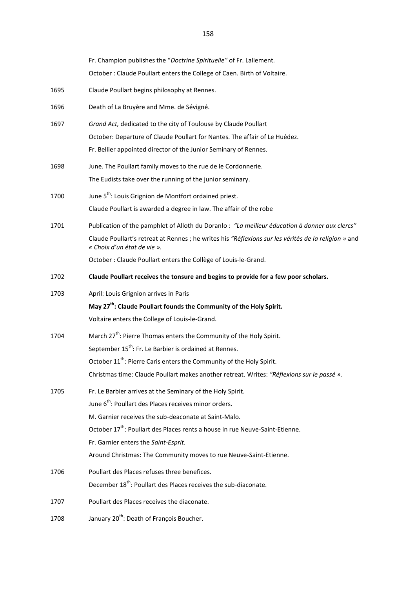|      | Fr. Champion publishes the "Doctrine Spirituelle" of Fr. Lallement.                                                                 |
|------|-------------------------------------------------------------------------------------------------------------------------------------|
|      | October: Claude Poullart enters the College of Caen. Birth of Voltaire.                                                             |
| 1695 | Claude Poullart begins philosophy at Rennes.                                                                                        |
| 1696 | Death of La Bruyère and Mme. de Sévigné.                                                                                            |
| 1697 | Grand Act, dedicated to the city of Toulouse by Claude Poullart                                                                     |
|      | October: Departure of Claude Poullart for Nantes. The affair of Le Huédez.                                                          |
|      | Fr. Bellier appointed director of the Junior Seminary of Rennes.                                                                    |
| 1698 | June. The Poullart family moves to the rue de le Cordonnerie.                                                                       |
|      | The Eudists take over the running of the junior seminary.                                                                           |
| 1700 | June 5 <sup>th</sup> : Louis Grignion de Montfort ordained priest.                                                                  |
|      | Claude Poullart is awarded a degree in law. The affair of the robe                                                                  |
| 1701 | Publication of the pamphlet of Alloth du Doranlo : "La meilleur éducation à donner aux clercs"                                      |
|      | Claude Poullart's retreat at Rennes ; he writes his "Réflexions sur les vérités de la religion » and<br>« Choix d'un état de vie ». |
|      | October : Claude Poullart enters the Collège of Louis-le-Grand.                                                                     |
| 1702 | Claude Poullart receives the tonsure and begins to provide for a few poor scholars.                                                 |
| 1703 | April: Louis Grignion arrives in Paris                                                                                              |
|      | May 27 <sup>th</sup> : Claude Poullart founds the Community of the Holy Spirit.                                                     |
|      | Voltaire enters the College of Louis-le-Grand.                                                                                      |
| 1704 | March 27 <sup>th</sup> : Pierre Thomas enters the Community of the Holy Spirit.                                                     |
|      | September 15 <sup>th</sup> : Fr. Le Barbier is ordained at Rennes.                                                                  |
|      | October 11 <sup>th</sup> : Pierre Caris enters the Community of the Holy Spirit.                                                    |
|      | Christmas time: Claude Poullart makes another retreat. Writes: "Réflexions sur le passé ».                                          |
| 1705 | Fr. Le Barbier arrives at the Seminary of the Holy Spirit.                                                                          |
|      | June 6 <sup>th</sup> : Poullart des Places receives minor orders.                                                                   |
|      | M. Garnier receives the sub-deaconate at Saint-Malo.                                                                                |
|      | October 17 <sup>th</sup> : Poullart des Places rents a house in rue Neuve-Saint-Etienne.                                            |
|      | Fr. Garnier enters the Saint-Esprit.                                                                                                |
|      | Around Christmas: The Community moves to rue Neuve-Saint-Etienne.                                                                   |
| 1706 | Poullart des Places refuses three benefices.                                                                                        |
|      | December 18 <sup>th</sup> : Poullart des Places receives the sub-diaconate.                                                         |
| 1707 | Poullart des Places receives the diaconate.                                                                                         |
| 1708 | January 20 <sup>th</sup> : Death of François Boucher.                                                                               |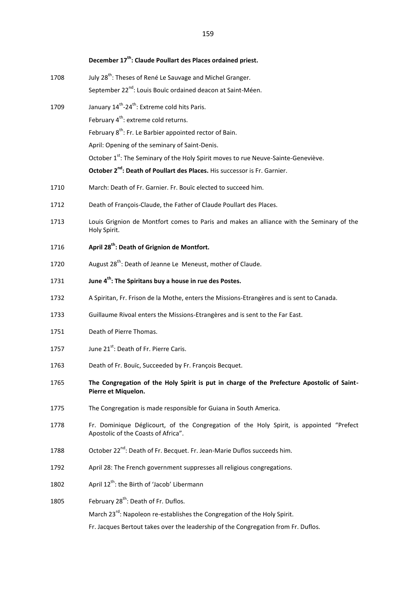|      | December 17 <sup>th</sup> : Claude Poullart des Places ordained priest.                                                        |
|------|--------------------------------------------------------------------------------------------------------------------------------|
| 1708 | July 28 <sup>th</sup> : Theses of René Le Sauvage and Michel Granger.                                                          |
|      | September 22 <sup>nd</sup> : Louis Bouïc ordained deacon at Saint-Méen.                                                        |
| 1709 | January 14 <sup>th</sup> -24 <sup>th</sup> : Extreme cold hits Paris.                                                          |
|      | February 4 <sup>th</sup> : extreme cold returns.                                                                               |
|      | February 8 <sup>th</sup> : Fr. Le Barbier appointed rector of Bain.                                                            |
|      | April: Opening of the seminary of Saint-Denis.                                                                                 |
|      | October 1 <sup>st</sup> : The Seminary of the Holy Spirit moves to rue Neuve-Sainte-Geneviève.                                 |
|      | October 2 <sup>nd</sup> : Death of Poullart des Places. His successor is Fr. Garnier.                                          |
| 1710 | March: Death of Fr. Garnier. Fr. Bouïc elected to succeed him.                                                                 |
| 1712 | Death of François-Claude, the Father of Claude Poullart des Places.                                                            |
| 1713 | Louis Grignion de Montfort comes to Paris and makes an alliance with the Seminary of the<br>Holy Spirit.                       |
| 1716 | April 28 <sup>th</sup> : Death of Grignion de Montfort.                                                                        |
| 1720 | August 28 <sup>th</sup> : Death of Jeanne Le Meneust, mother of Claude.                                                        |
| 1731 | June 4 <sup>th</sup> : The Spiritans buy a house in rue des Postes.                                                            |
| 1732 | A Spiritan, Fr. Frison de la Mothe, enters the Missions-Etrangères and is sent to Canada.                                      |
| 1733 | Guillaume Rivoal enters the Missions-Etrangères and is sent to the Far East.                                                   |
| 1751 | Death of Pierre Thomas.                                                                                                        |
| 1757 | June 21 <sup>st</sup> : Death of Fr. Pierre Caris.                                                                             |
| 1763 | Death of Fr. Bouïc, Succeeded by Fr. François Becquet.                                                                         |
| 1765 | The Congregation of the Holy Spirit is put in charge of the Prefecture Apostolic of Saint-<br>Pierre et Miquelon.              |
| 1775 | The Congregation is made responsible for Guiana in South America.                                                              |
| 1778 | Fr. Dominique Déglicourt, of the Congregation of the Holy Spirit, is appointed "Prefect<br>Apostolic of the Coasts of Africa". |
| 1788 | October 22 <sup>nd</sup> : Death of Fr. Becquet. Fr. Jean-Marie Duflos succeeds him.                                           |
| 1792 | April 28: The French government suppresses all religious congregations.                                                        |
| 1802 | April 12 <sup>th</sup> : the Birth of 'Jacob' Libermann                                                                        |
| 1805 | February 28 <sup>th</sup> : Death of Fr. Duflos.                                                                               |
|      | March 23 <sup>rd</sup> : Napoleon re-establishes the Congregation of the Holy Spirit.                                          |
|      | Fr. Jacques Bertout takes over the leadership of the Congregation from Fr. Duflos.                                             |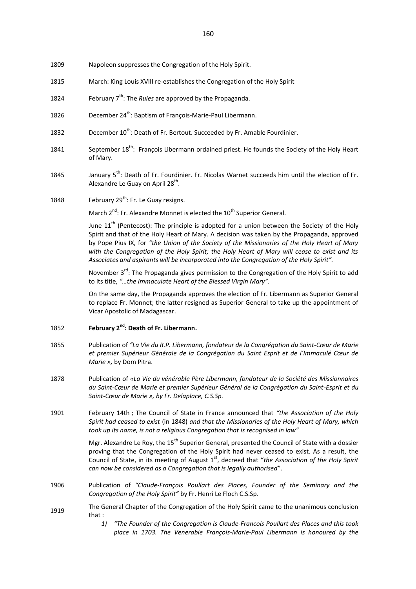1809 Napoleon suppresses the Congregation of the Holy Spirit.

- 1815 March: King Louis XVIII re-establishes the Congregation of the Holy Spirit
- 1824 February 7<sup>th</sup>: The *Rules* are approved by the Propaganda.
- 1826 December 24<sup>th</sup>: Baptism of François-Marie-Paul Libermann.
- 1832 December  $10^{th}$ : Death of Fr. Bertout. Succeeded by Fr. Amable Fourdinier.
- 1841 September 18<sup>th</sup>: François Libermann ordained priest. He founds the Society of the Holy Heart of Mary.
- 1845 January 5<sup>th</sup>: Death of Fr. Fourdinier. Fr. Nicolas Warnet succeeds him until the election of Fr. Alexandre Le Guay on April 28<sup>th</sup>.
- 1848 February  $29^{th}$ : Fr. Le Guay resigns.

March 2<sup>nd</sup>: Fr. Alexandre Monnet is elected the 10<sup>th</sup> Superior General.

June  $11<sup>th</sup>$  (Pentecost): The principle is adopted for a union between the Society of the Holy Spirit and that of the Holy Heart of Mary. A decision was taken by the Propaganda, approved by Pope Pius IX, for *"the Union of the Society of the Missionaries of the Holy Heart of Mary with the Congregation of the Holy Spirit; the Holy Heart of Mary will cease to exist and its Associates and aspirants will be incorporated into the Congregation of the Holy Spirit".* 

November 3<sup>rd</sup>: The Propaganda gives permission to the Congregation of the Holy Spirit to add to its title, *"…the Immaculate Heart of the Blessed Virgin Mary".* 

On the same day, the Propaganda approves the election of Fr. Libermann as Superior General to replace Fr. Monnet; the latter resigned as Superior General to take up the appointment of Vicar Apostolic of Madagascar.

## 1852 **February 2nd: Death of Fr. Libermann.**

- 1855 Publication of *"La Vie du R.P. Libermann, fondateur de la Congrégation du Saint-Cœur de Marie et premier Supérieur Générale de la Congrégation du Saint Esprit et de l'Immaculé Cœur de Marie »,* by Dom Pitra.
- 1878 Publication of *«La Vie du vénérable Père Libermann, fondateur de la Société des Missionnaires du Saint-Cœur de Marie et premier Supérieur Général de la Congrégation du Saint-Esprit et du Saint-Cœur de Marie », by Fr. Delaplace, C.S.Sp.*
- 1901 February 14th ; The Council of State in France announced that *"the Association of the Holy Spirit had ceased to exist* (in 1848) *and that the Missionaries of the Holy Heart of Mary, which took up its name, is not a religious Congregation that is recognised in law"*

Mgr. Alexandre Le Roy, the 15<sup>th</sup> Superior General, presented the Council of State with a dossier proving that the Congregation of the Holy Spirit had never ceased to exist. As a result, the Council of State, in its meeting of August 1<sup>st</sup>, decreed that "*the Association of the Holy Spirit can now be considered as a Congregation that is legally authorised*".

- 1906 Publication of *"Claude-François Poullart des Places, Founder of the Seminary and the Congregation of the Holy Spirit"* by Fr. Henri Le Floch C.S.Sp.
- 1919 The General Chapter of the Congregation of the Holy Spirit came to the unanimous conclusion that :
	- *1) "The Founder of the Congregation is Claude-Francois Poullart des Places and this took place in 1703. The Venerable François-Marie-Paul Libermann is honoured by the*